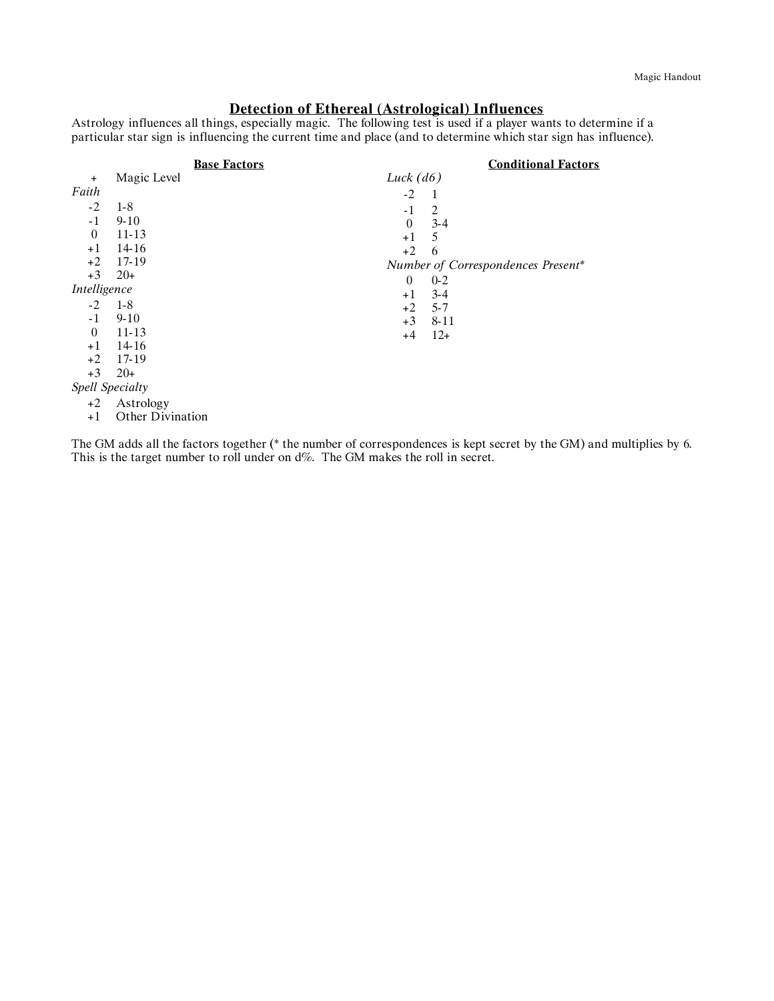# **Detection of Ethereal (Astrological) Influences**

Astrology influences all things, especially magic. The following test is used if a player wants to determine if a particular star sign is influencing the current time and place (and to determine which star sign has influence).

|                 |                         | <b>Base Factors</b> |             | <b>Conditional Factors</b>         |
|-----------------|-------------------------|---------------------|-------------|------------------------------------|
| $\ddot{}$       | Magic Level             |                     | Luck $(d6)$ |                                    |
| Faith           |                         |                     | $-2$        | -1                                 |
| $-2$            | $1 - 8$                 |                     | $-1$        | 2                                  |
| $-1$            | $9 - 10$                |                     | $\theta$    | $3 - 4$                            |
| $\overline{0}$  | 11-13                   |                     | $+1$        | 5                                  |
| $+1$            | 14-16                   |                     | $+2$        | 6                                  |
| $+2$            | 17-19                   |                     |             | Number of Correspondences Present* |
| $+3$            | $20+$                   |                     | $\theta$    | $0 - 2$                            |
| Intelligence    |                         |                     | $+1$        | $3 - 4$                            |
| $-2$            | $1-8$                   |                     | $+2$        | $5 - 7$                            |
| $-1$            | $9 - 10$                |                     | $+3$        | 8-11                               |
| $\theta$        | $11 - 13$               |                     | $+4$        | $12+$                              |
| $+1$            | 14-16                   |                     |             |                                    |
| $+2$            | 17-19                   |                     |             |                                    |
| $+3$            | $20+$                   |                     |             |                                    |
| Spell Specialty |                         |                     |             |                                    |
| $+2$            | Astrology               |                     |             |                                    |
| $+1$            | <b>Other Divination</b> |                     |             |                                    |

The GM adds all the factors together (\* the number of correspondences is kept secret by the GM) and multiplies by 6. This is the target number to roll under on d%. The GM makes the roll in secret.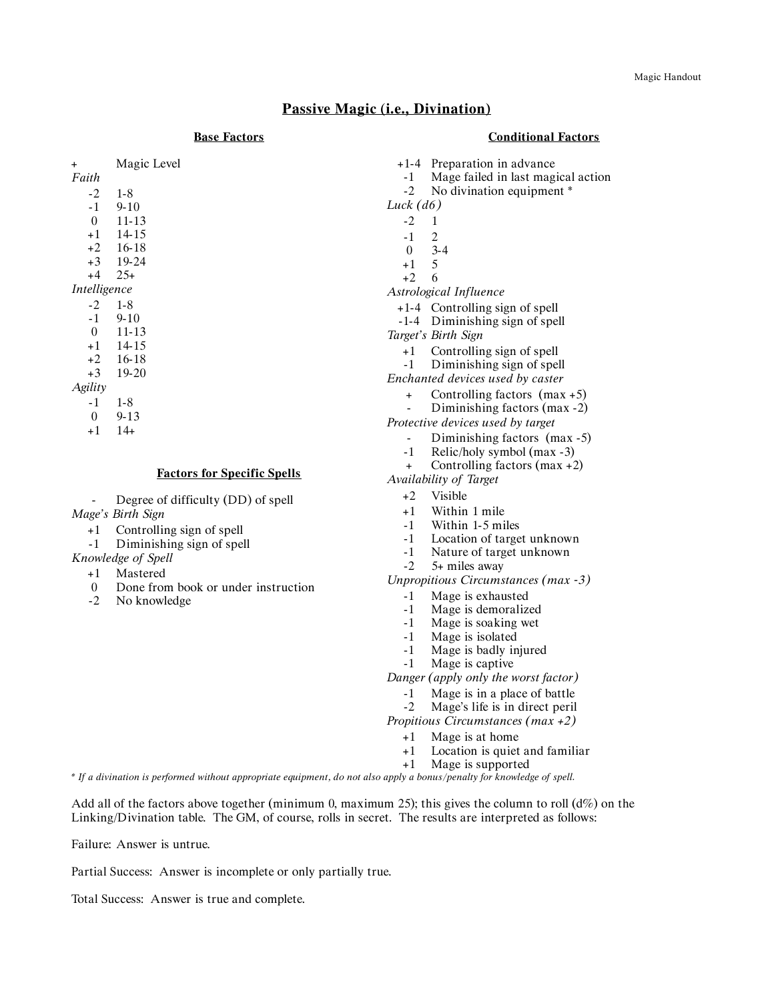## **Passive Magic (i.e., Divination)**

#### **Base Factors**

#### **Conditional Factors**

| $\ddot{}$    | Magic Level |
|--------------|-------------|
| Faith        |             |
| $-2$         | $1-8$       |
| -1           | $9 - 10$    |
| $\theta$     | 11-13       |
| $+1$         | 14-15       |
| $+2$         | - 16-18     |
|              | $+3$ 19-24  |
| $+4$ 25+     |             |
| Intelligence |             |
| $-2$         | $1-8$       |
| -1           | $9 - 10$    |
| $\theta$     | 11-13       |
| $+1$         | - 14-15     |
|              | $+2$ 16-18  |
| $+3$         | 19-20       |
| Agility      |             |
| -1           | 1-8         |
|              |             |

0 9-13 +1 14+

#### **Factors for Specific Spells**

Degree of difficulty (DD) of spell *Mage's Birth Sign*

- +1 Controlling sign of spell
- -1 Diminishing sign of spell
- *Knowledge of Spell*
	- +1 Mastered
	- 0 Done from book or under instruction
	- -2 No knowledge
- +1-4 Preparation in advance
- -1 Mage failed in last magical action
- -2 No divination equipment \*
- *Luck (d6)*
	- -2 1
	- -1 2
	- 0 3-4
	- $+1$  5<br>+2 6
	- $+2$
- *Astrological Influence*
	- +1-4 Controlling sign of spell
	- -1-4 Diminishing sign of spell
- *Target's Birth Sign*
	- +1 Controlling sign of spell
	- -1 Diminishing sign of spell

*Enchanted devices used by caster*

- + Controlling factors (max +5)
- Diminishing factors (max -2)
- *Protective devices used by target*
	- Diminishing factors (max -5)
	- -1 Relic/holy symbol (max -3)
	- + Controlling factors (max +2)
- *Availability of Target*
	- +2 Visible
	- +1 Within 1 mile
	- -1 Within 1-5 miles
	- -1 Location of target unknown
	- -1 Nature of target unknown
	- -2 5+ miles away
- *Unpropitious Circumstances (max -3)*
	- -1 Mage is exhausted
	- -1 Mage is demoralized
	- -1 Mage is soaking wet
	- -1 Mage is isolated
	- -1 Mage is badly injured
	- -1 Mage is captive

*Danger (apply only the worst factor)*

- -1 Mage is in a place of battle
- -2 Mage's life is in direct peril

*Propitious Circumstances (max +2)*

- 
- +1 Location is quiet and familiar
- +1 Mage is supported

\* If a divination is performed without appropriate equipment, do not also apply a bonus/penalty for knowledge of spell.

Add all of the factors above together (minimum 0, maximum 25); this gives the column to roll ( $d\%$ ) on the Linking/Divination table. The GM, of course, rolls in secret. The results are interpreted as follows:

Failure: Answer is untrue.

Partial Success: Answer is incomplete or only partially true.

Total Success: Answer is true and complete.

# +1 Mage is at home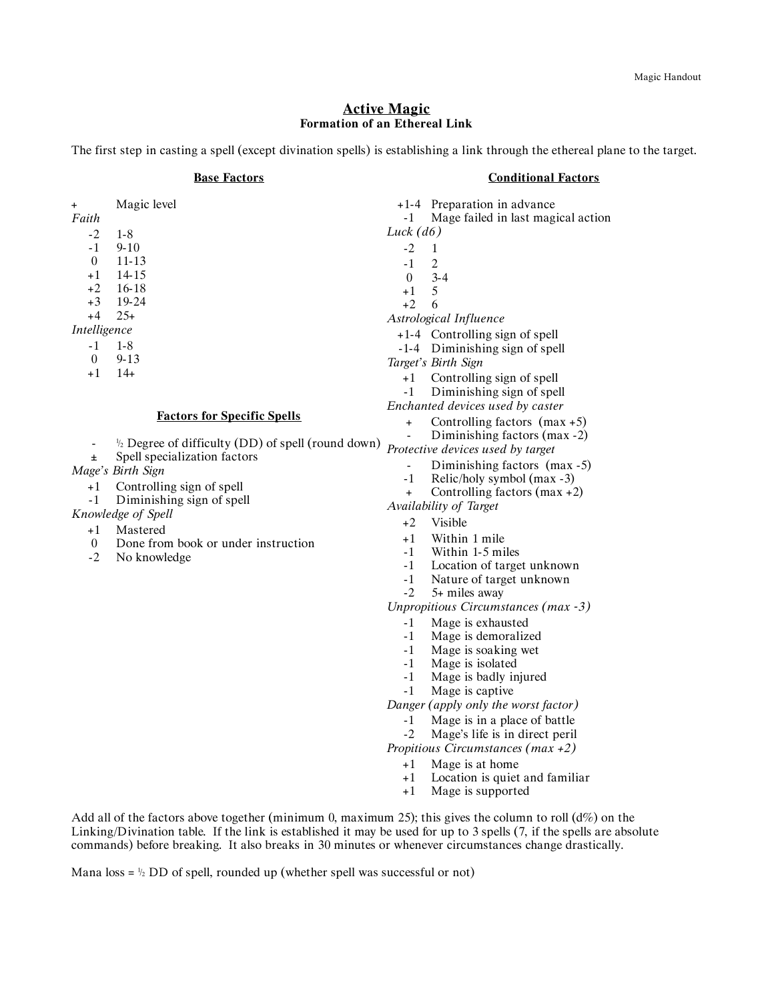### **Active Magic Formation of an Ethereal Link**

The first step in casting a spell (except divination spells) is establishing a link through the ethereal plane to the target.

#### **Base Factors**

### **Conditional Factors**

| $\ddot{}$<br>Faith | Magic level                                                   | -1             | +1-4 Preparation in advance<br>Mage failed in last magical action       |
|--------------------|---------------------------------------------------------------|----------------|-------------------------------------------------------------------------|
|                    |                                                               | Luck $(d6)$    |                                                                         |
| $-2$<br>-1         | $1 - 8$<br>$9 - 10$                                           | $-2$           | $\mathbf{1}$                                                            |
| $\theta$           | $11 - 13$                                                     |                |                                                                         |
| $+1$               | 14 15                                                         | $-1$           | 2                                                                       |
| +2                 | 16-18                                                         | $\theta$       | $3 - 4$<br>5                                                            |
| $+3$               | 19-24                                                         | $+1$<br>$+2$   | 6                                                                       |
| $+4$               | $25+$                                                         |                | Astrological Influence                                                  |
| Intelligence       |                                                               |                |                                                                         |
| $-1$               | $1 - 8$                                                       |                | +1-4 Controlling sign of spell                                          |
| $\theta$           | $9 - 13$                                                      |                | -1-4 Diminishing sign of spell                                          |
| $+1$               | $14+$                                                         |                | Target's Birth Sign                                                     |
|                    |                                                               | $+1$           | Controlling sign of spell                                               |
|                    |                                                               | $-1$           | Diminishing sign of spell<br>Enchanted devices used by caster           |
|                    | <b>Factors for Specific Spells</b>                            |                |                                                                         |
|                    |                                                               | $\ddot{}$      | Controlling factors $(max + 5)$                                         |
| $\blacksquare$     | $\frac{1}{2}$ Degree of difficulty (DD) of spell (round down) |                | Diminishing factors (max -2)                                            |
| Ŧ.                 | Spell specialization factors                                  |                | Protective devices used by target                                       |
|                    | Mage's Birth Sign                                             | $\blacksquare$ | Diminishing factors (max -5)                                            |
| $+1$               | Controlling sign of spell                                     | $-1$           | Relic/holy symbol (max -3)                                              |
| $-1$               | Diminishing sign of spell                                     | $\ddot{}$      | Controlling factors $(max + 2)$                                         |
|                    | Knowledge of Spell                                            |                | Availability of Target                                                  |
| $+1$               | Mastered                                                      | $+2$           | Visible                                                                 |
| $\overline{0}$     | Done from book or under instruction                           | $+1$           | Within 1 mile                                                           |
| $-2$               | No knowledge                                                  | -1             | Within 1-5 miles                                                        |
|                    |                                                               | $-1$           | Location of target unknown                                              |
|                    |                                                               | $-1$           | Nature of target unknown                                                |
|                    |                                                               | $-2$           | 5+ miles away                                                           |
|                    |                                                               |                | Unpropitious Circumstances (max -3)                                     |
|                    |                                                               | $-1$           | Mage is exhausted                                                       |
|                    |                                                               | -1             | Mage is demoralized                                                     |
|                    |                                                               | $-1$           | Mage is soaking wet                                                     |
|                    |                                                               | $-1$<br>$-1$   | Mage is isolated<br>Mage is badly injured                               |
|                    |                                                               | $-1$           | Mage is captive                                                         |
|                    |                                                               |                | Danger (apply only the worst factor)                                    |
|                    |                                                               |                |                                                                         |
|                    |                                                               | $-1$           | Mage is in a place of battle                                            |
|                    |                                                               | $-2$           | Mage's life is in direct peril<br>Propitious Circumstances ( $max +2$ ) |
|                    |                                                               |                |                                                                         |
|                    |                                                               | $+1$           | Mage is at home                                                         |
|                    |                                                               | +1             | Location is quiet and familiar                                          |

+1 Mage is supported

Add all of the factors above together (minimum 0, maximum 25); this gives the column to roll (d%) on the Linking/Divination table. If the link is established it may be used for up to 3 spells (7, if the spells are absolute commands) before breaking. It also breaks in 30 minutes or whenever circumstances change drastically.

Mana loss =  $\frac{1}{2}$  DD of spell, rounded up (whether spell was successful or not)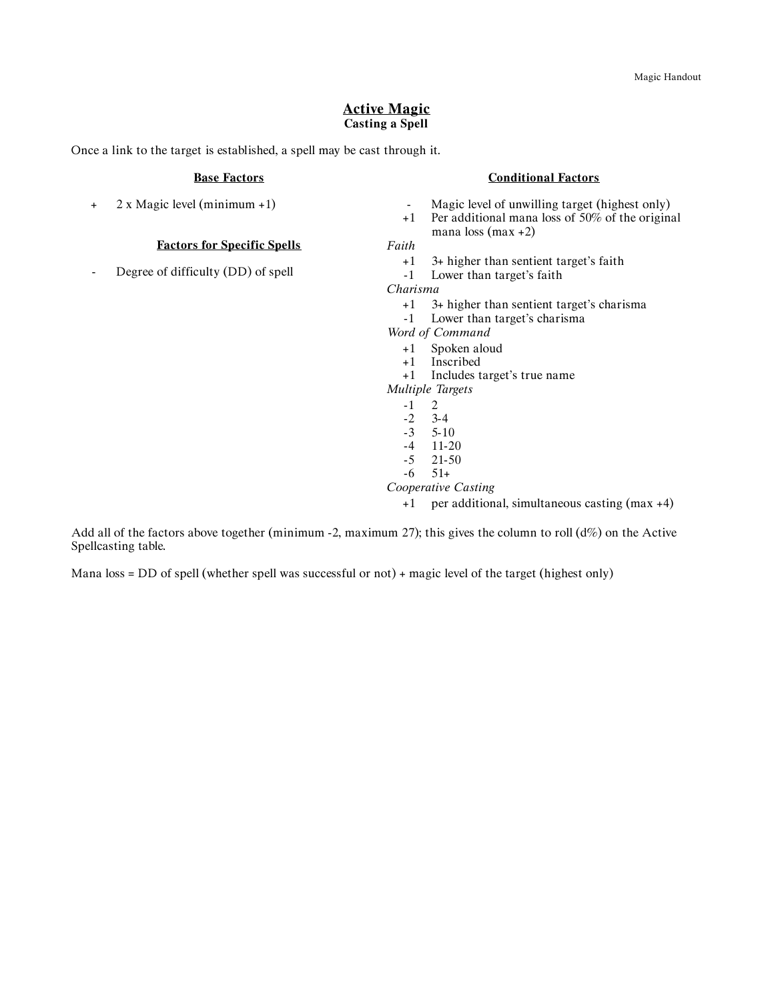### **Active Magic Casting a Spell**

Once a link to the target is established, a spell may be cast through it.

#### **Base Factors**

+ 2 x Magic level (minimum +1)

### **Factors for Specific Spells**

Degree of difficulty (DD) of spell

#### **Conditional Factors**

- Magic level of unwilling target (highest only)
- +1 Per additional mana loss of 50% of the original mana loss (max +2)

*Faith*

- +1 3+ higher than sentient target's faith
- -1 Lower than target's faith

*Charisma*

- +1 3+ higher than sentient target's charisma
- -1 Lower than target's charisma
- *Word of Command*
	- +1 Spoken aloud
	- +1 Inscribed
	- +1 Includes target's true name
- *Multiple Targets*
	- $\begin{array}{cc} -1 & 2 \\ -2 & 3-4 \end{array}$
	- $\frac{-2}{-3}$
	- $-3$   $5-10$ <br> $-4$   $11-20$
	- $-4$  11-20<br> $-5$  21-50 21-50
	- $-6$   $51+$
- *Cooperative Casting*
	- +1 per additional, simultaneous casting (max +4)

Add all of the factors above together (minimum -2, maximum 27); this gives the column to roll  $(d\%)$  on the Active Spellcasting table.

Mana loss = DD of spell (whether spell was successful or not) + magic level of the target (highest only)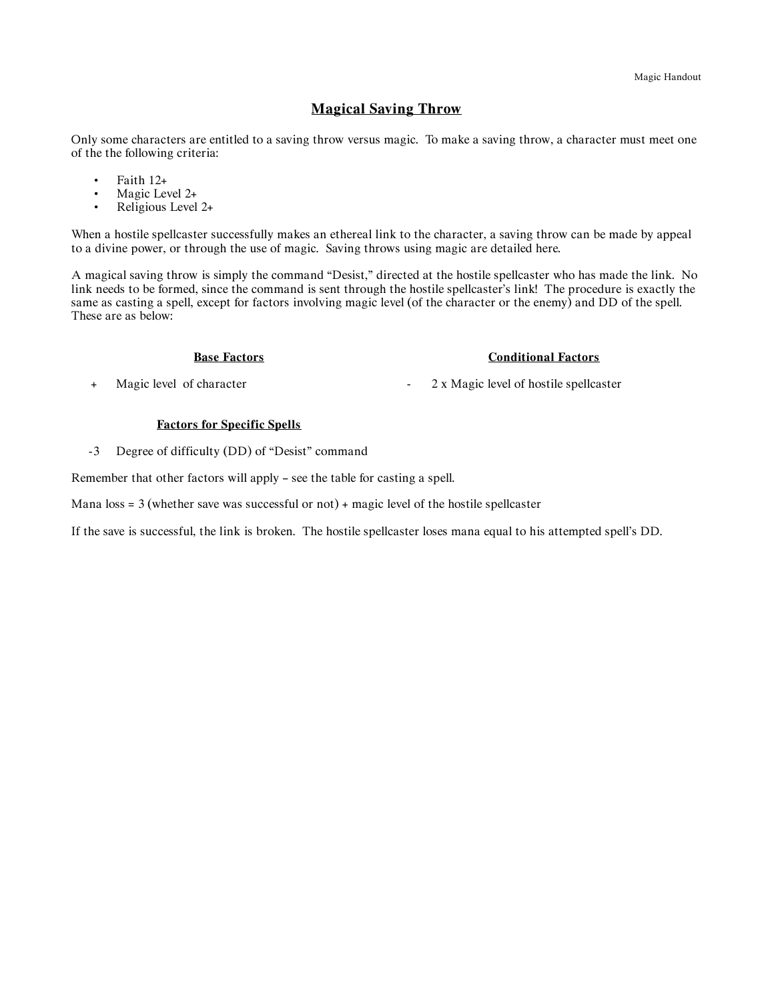# **Magical Saving Throw**

Only some characters are entitled to a saving throw versus magic. To make a saving throw, a character must meet one of the the following criteria:

- Faith 12+
- Magic Level  $2+$ <br>• Religious Level
- Religious Level 2+

When a hostile spellcaster successfully makes an ethereal link to the character, a saving throw can be made by appeal to a divine power, or through the use of magic. Saving throws using magic are detailed here.

A magical saving throw is simply the command "Desist," directed at the hostile spellcaster who has made the link. No link needs to be formed, since the command is sent through the hostile spellcaster's link! The procedure is exactly the same as casting a spell, except for factors involving magic level (of the character or the enemy) and DD of the spell. These are as below:

#### **Base Factors**

#### **Conditional Factors**

+ Magic level of character

- 2 x Magic level of hostile spellcaster

#### **Factors for Specific Spells**

-3 Degree of difficulty (DD) of "Desist" command

Remember that other factors will apply – see the table for casting a spell.

Mana  $loss = 3$  (whether save was successful or not) + magic level of the hostile spellcaster

If the save is successful, the link is broken. The hostile spellcaster loses mana equal to his attempted spell's DD.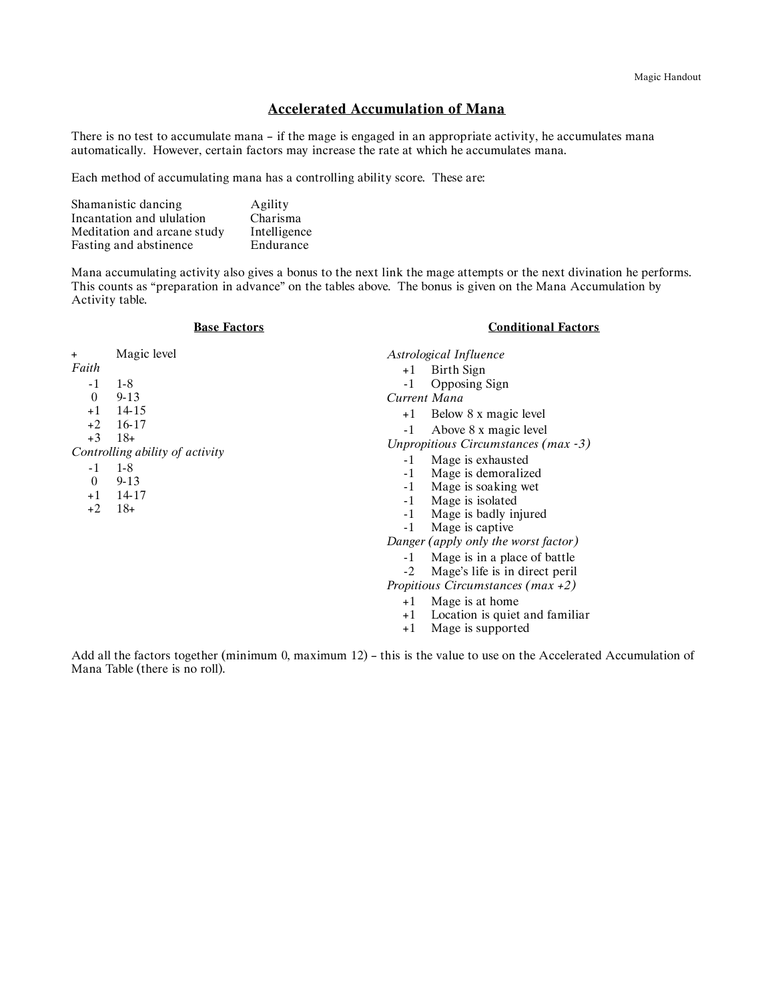# **Accelerated Accumulation of Mana**

There is no test to accumulate mana – if the mage is engaged in an appropriate activity, he accumulates mana automatically. However, certain factors may increase the rate at which he accumulates mana.

Each method of accumulating mana has a controlling ability score. These are:

| Shamanistic dancing         | Agility      |
|-----------------------------|--------------|
| Incantation and ululation   | Charisma     |
| Meditation and arcane study | Intelligence |
| Fasting and abstinence      | Endurance    |

Mana accumulating activity also gives a bonus to the next link the mage attempts or the next divination he performs. This counts as "preparation in advance" on the tables above. The bonus is given on the Mana Accumulation by Activity table.

| <b>Base Factors</b> |  |
|---------------------|--|
|---------------------|--|

### **Conditional Factors**

| $\ddot{}$                                                            | Magic level                                                                                       |                                                                                                                                                                                                                                                                                                                                  | Astrological Influence |
|----------------------------------------------------------------------|---------------------------------------------------------------------------------------------------|----------------------------------------------------------------------------------------------------------------------------------------------------------------------------------------------------------------------------------------------------------------------------------------------------------------------------------|------------------------|
| Faith                                                                |                                                                                                   | $+1$                                                                                                                                                                                                                                                                                                                             | Birth Sign             |
| $-1$                                                                 | $1 - 8$                                                                                           | $-1$                                                                                                                                                                                                                                                                                                                             | Opposing Sign          |
| $\theta$<br>$+1$<br>$+2$<br>$+3$<br>$-1$<br>$\Omega$<br>$+1$<br>$+2$ | $9 - 13$                                                                                          |                                                                                                                                                                                                                                                                                                                                  | Current Mana           |
|                                                                      | 14-15<br>16-17<br>$18+$<br>Controlling ability of activity<br>$1-8$<br>$9 - 13$<br>14-17<br>$18+$ | Below 8 x magic level<br>$+1$<br>Above 8 x magic level<br>$-1$<br>Unpropitious Circumstances (max -3)<br>Mage is exhausted<br>$-1$<br>Mage is demoralized<br>$-1$<br>Mage is soaking wet<br>$-1$<br>Mage is isolated<br>$-1$<br>Mage is badly injured<br>$-1$<br>Mage is captive<br>$-1$<br>Danger (apply only the worst factor) |                        |
|                                                                      |                                                                                                   |                                                                                                                                                                                                                                                                                                                                  |                        |
|                                                                      |                                                                                                   |                                                                                                                                                                                                                                                                                                                                  | -1<br>$-2$             |

+1 Mage is at home

- +1 Location is quiet and familiar
- +1 Mage is supported

Add all the factors together (minimum 0, maximum 12) – this is the value to use on the Accelerated Accumulation of Mana Table (there is no roll).